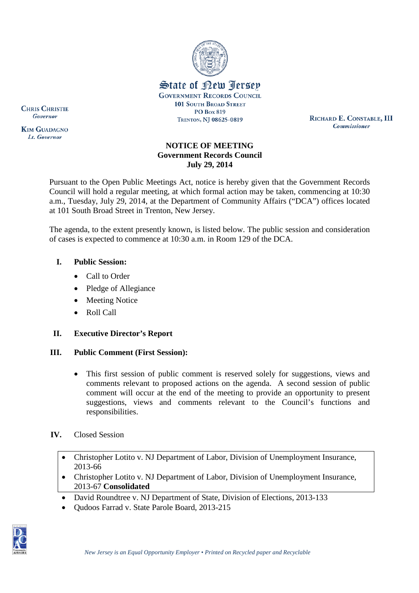

RICHARD E. CONSTABLE, III **Commissioner** 

# **NOTICE OF MEETING Government Records Council July 29, 2014**

Pursuant to the Open Public Meetings Act, notice is hereby given that the Government Records Council will hold a regular meeting, at which formal action may be taken, commencing at 10:30 a.m., Tuesday, July 29, 2014, at the Department of Community Affairs ("DCA") offices located at 101 South Broad Street in Trenton, New Jersey.

The agenda, to the extent presently known, is listed below. The public session and consideration of cases is expected to commence at 10:30 a.m. in Room 129 of the DCA.

## **I. Public Session:**

- Call to Order
- Pledge of Allegiance
- Meeting Notice
- Roll Call

## **II. Executive Director's Report**

## **III. Public Comment (First Session):**

 This first session of public comment is reserved solely for suggestions, views and comments relevant to proposed actions on the agenda. A second session of public comment will occur at the end of the meeting to provide an opportunity to present suggestions, views and comments relevant to the Council's functions and responsibilities.

## **IV.** Closed Session

- Christopher Lotito v. NJ Department of Labor, Division of Unemployment Insurance, 2013-66
- Christopher Lotito v. NJ Department of Labor, Division of Unemployment Insurance, 2013-67 **Consolidated**
- David Roundtree v. NJ Department of State, Division of Elections, 2013-133
- Qudoos Farrad v. State Parole Board, 2013-215





Lt. Governor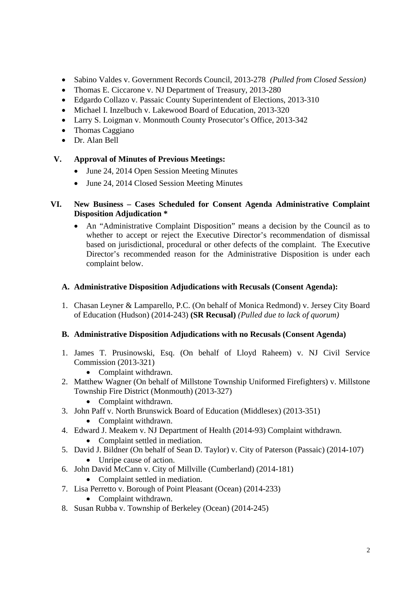- Sabino Valdes v. Government Records Council, 2013-278 *(Pulled from Closed Session)*
- Thomas E. Ciccarone v. NJ Department of Treasury, 2013-280
- Edgardo Collazo v. Passaic County Superintendent of Elections, 2013-310
- Michael I. Inzelbuch v. Lakewood Board of Education, 2013-320
- Larry S. Loigman v. Monmouth County Prosecutor's Office, 2013-342
- Thomas Caggiano
- Dr. Alan Bell

## **V. Approval of Minutes of Previous Meetings:**

- June 24, 2014 Open Session Meeting Minutes
- June 24, 2014 Closed Session Meeting Minutes

#### **VI. New Business – Cases Scheduled for Consent Agenda Administrative Complaint Disposition Adjudication \***

 An "Administrative Complaint Disposition" means a decision by the Council as to whether to accept or reject the Executive Director's recommendation of dismissal based on jurisdictional, procedural or other defects of the complaint. The Executive Director's recommended reason for the Administrative Disposition is under each complaint below.

## **A. Administrative Disposition Adjudications with Recusals (Consent Agenda):**

1. Chasan Leyner & Lamparello, P.C. (On behalf of Monica Redmond) v. Jersey City Board of Education (Hudson) (2014-243) **(SR Recusal)** *(Pulled due to lack of quorum)*

## **B. Administrative Disposition Adjudications with no Recusals (Consent Agenda)**

- 1. James T. Prusinowski, Esq. (On behalf of Lloyd Raheem) v. NJ Civil Service Commission (2013-321)
	- Complaint withdrawn.
- 2. Matthew Wagner (On behalf of Millstone Township Uniformed Firefighters) v. Millstone Township Fire District (Monmouth) (2013-327)
	- Complaint withdrawn.
- 3. John Paff v. North Brunswick Board of Education (Middlesex) (2013-351)
	- Complaint withdrawn.
- 4. Edward J. Meakem v. NJ Department of Health (2014-93) Complaint withdrawn.
	- Complaint settled in mediation.
- 5. David J. Bildner (On behalf of Sean D. Taylor) v. City of Paterson (Passaic) (2014-107)
	- Unripe cause of action.
- 6. John David McCann v. City of Millville (Cumberland) (2014-181)
	- Complaint settled in mediation.
- 7. Lisa Perretto v. Borough of Point Pleasant (Ocean) (2014-233)
	- Complaint withdrawn.
- 8. Susan Rubba v. Township of Berkeley (Ocean) (2014-245)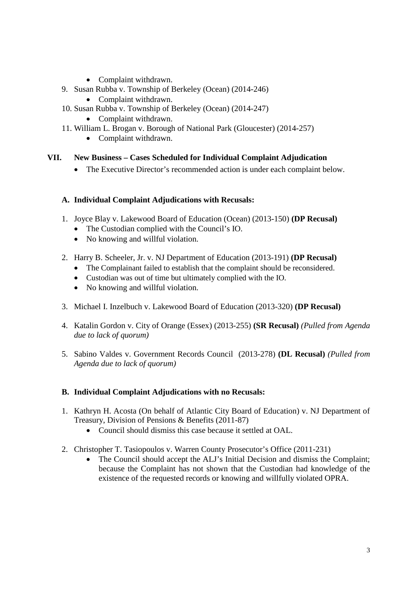- Complaint withdrawn.
- 9. Susan Rubba v. Township of Berkeley (Ocean) (2014-246)
	- Complaint withdrawn.
- 10. Susan Rubba v. Township of Berkeley (Ocean) (2014-247)
	- Complaint withdrawn.
- 11. William L. Brogan v. Borough of National Park (Gloucester) (2014-257)
	- Complaint withdrawn.

#### **VII. New Business – Cases Scheduled for Individual Complaint Adjudication**

The Executive Director's recommended action is under each complaint below.

#### **A. Individual Complaint Adjudications with Recusals:**

- 1. Joyce Blay v. Lakewood Board of Education (Ocean) (2013-150) **(DP Recusal)**
	- The Custodian complied with the Council's IO.
	- No knowing and willful violation.
- 2. Harry B. Scheeler, Jr. v. NJ Department of Education (2013-191) **(DP Recusal)**
	- The Complainant failed to establish that the complaint should be reconsidered.
	- Custodian was out of time but ultimately complied with the IO.
	- No knowing and willful violation.
- 3. Michael I. Inzelbuch v. Lakewood Board of Education (2013-320) **(DP Recusal)**
- 4. Katalin Gordon v. City of Orange (Essex) (2013-255) **(SR Recusal)** *(Pulled from Agenda due to lack of quorum)*
- 5. Sabino Valdes v. Government Records Council (2013-278) **(DL Recusal)** *(Pulled from Agenda due to lack of quorum)*

## **B. Individual Complaint Adjudications with no Recusals:**

- 1. Kathryn H. Acosta (On behalf of Atlantic City Board of Education) v. NJ Department of Treasury, Division of Pensions & Benefits (2011-87)
	- Council should dismiss this case because it settled at OAL.
- 2. Christopher T. Tasiopoulos v. Warren County Prosecutor's Office (2011-231)
	- The Council should accept the ALJ's Initial Decision and dismiss the Complaint; because the Complaint has not shown that the Custodian had knowledge of the existence of the requested records or knowing and willfully violated OPRA.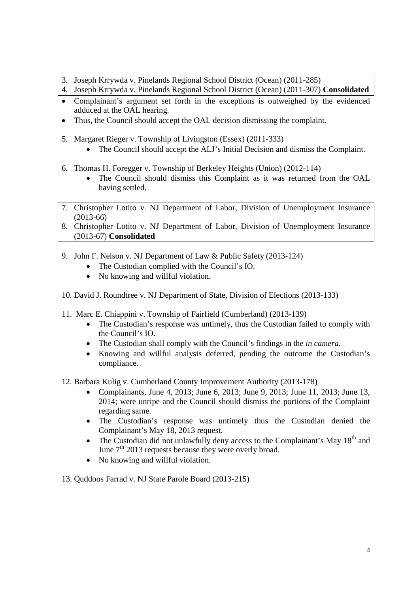- 3. Joseph Krrywda v. Pinelands Regional School District (Ocean) (2011-285)
- 4. Joseph Krrywda v. Pinelands Regional School District (Ocean) (2011-307) **Consolidated**
- Complainant's argument set forth in the exceptions is outweighed by the evidenced adduced at the OAL hearing.
- Thus, the Council should accept the OAL decision dismissing the complaint.
- 5. Margaret Rieger v. Township of Livingston (Essex) (2011-333)
	- The Council should accept the ALJ's Initial Decision and dismiss the Complaint.
- 6. Thomas H. Foregger v. Township of Berkeley Heights (Union) (2012-114)
	- The Council should dismiss this Complaint as it was returned from the OAL having settled.
- 7. Christopher Lotito v. NJ Department of Labor, Division of Unemployment Insurance (2013-66)
- 8. Christopher Lotito v. NJ Department of Labor, Division of Unemployment Insurance (2013-67) **Consolidated**
- 9. John F. Nelson v. NJ Department of Law & Public Safety (2013-124)
	- The Custodian complied with the Council's IO.
	- No knowing and willful violation.
- 10. David J. Roundtree v. NJ Department of State, Division of Elections (2013-133)
- 11. Marc E. Chiappini v. Township of Fairfield (Cumberland) (2013-139)
	- The Custodian's response was untimely, thus the Custodian failed to comply with the Council's IO.
	- The Custodian shall comply with the Council's findings in the *in camera.*
	- Knowing and willful analysis deferred, pending the outcome the Custodian's compliance.
- 12. Barbara Kulig v. Cumberland County Improvement Authority (2013-178)
	- Complainants, June 4, 2013; June 6, 2013; June 9, 2013; June 11, 2013; June 13, 2014; were unripe and the Council should dismiss the portions of the Complaint regarding same.
	- The Custodian's response was untimely thus the Custodian denied the Complainant's May 18, 2013 request.
	- The Custodian did not unlawfully deny access to the Complainant's May  $18<sup>th</sup>$  and June  $7<sup>th</sup>$  2013 requests because they were overly broad.
	- No knowing and willful violation.
- 13. Quddoos Farrad v. NJ State Parole Board (2013-215)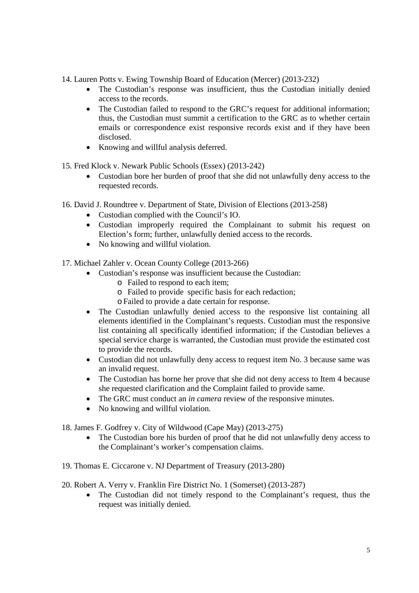14. Lauren Potts v. Ewing Township Board of Education (Mercer) (2013-232)

- The Custodian's response was insufficient, thus the Custodian initially denied access to the records.
- The Custodian failed to respond to the GRC's request for additional information; thus, the Custodian must summit a certification to the GRC as to whether certain emails or correspondence exist responsive records exist and if they have been disclosed.
- Knowing and willful analysis deferred.

15. Fred Klock v. Newark Public Schools (Essex) (2013-242)

 Custodian bore her burden of proof that she did not unlawfully deny access to the requested records.

16. David J. Roundtree v. Department of State, Division of Elections (2013-258)

- Custodian complied with the Council's IO.
- Custodian improperly required the Complainant to submit his request on Election's form; further, unlawfully denied access to the records.
- No knowing and willful violation.

17. Michael Zahler v. Ocean County College (2013-266)

- Custodian's response was insufficient because the Custodian:
	- o Failed to respond to each item;
	- o Failed to provide specific basis for each redaction;
	- o Failed to provide a date certain for response.
- The Custodian unlawfully denied access to the responsive list containing all elements identified in the Complainant's requests. Custodian must the responsive list containing all specifically identified information; if the Custodian believes a special service charge is warranted, the Custodian must provide the estimated cost to provide the records.
- Custodian did not unlawfully deny access to request item No. 3 because same was an invalid request.
- The Custodian has borne her prove that she did not deny access to Item 4 because she requested clarification and the Complaint failed to provide same.
- The GRC must conduct an *in camera* review of the responsive minutes.
- No knowing and willful violation.

18. James F. Godfrey v. City of Wildwood (Cape May) (2013-275)

- The Custodian bore his burden of proof that he did not unlawfully deny access to the Complainant's worker's compensation claims.
- 19. Thomas E. Ciccarone v. NJ Department of Treasury (2013-280)
- 20. Robert A. Verry v. Franklin Fire District No. 1 (Somerset) (2013-287)
	- The Custodian did not timely respond to the Complainant's request, thus the request was initially denied.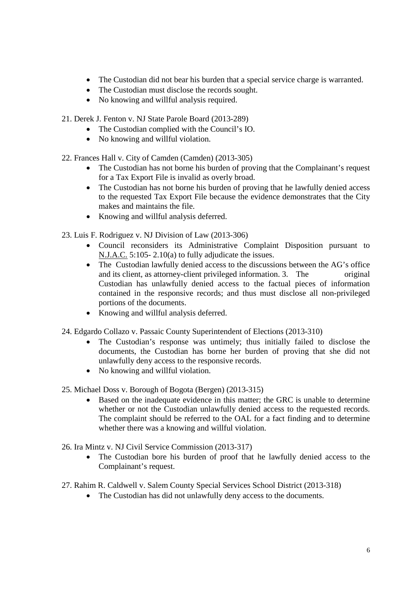- The Custodian did not bear his burden that a special service charge is warranted.
- The Custodian must disclose the records sought.
- No knowing and willful analysis required.
- 21. Derek J. Fenton v. NJ State Parole Board (2013-289)
	- The Custodian complied with the Council's IO.
	- No knowing and willful violation.
- 22. Frances Hall v. City of Camden (Camden) (2013-305)
	- The Custodian has not borne his burden of proving that the Complainant's request for a Tax Export File is invalid as overly broad.
	- The Custodian has not borne his burden of proving that he lawfully denied access to the requested Tax Export File because the evidence demonstrates that the City makes and maintains the file.
	- Knowing and willful analysis deferred.
- 23. Luis F. Rodriguez v. NJ Division of Law (2013-306)
	- Council reconsiders its Administrative Complaint Disposition pursuant to N.J.A.C. 5:105- 2.10(a) to fully adjudicate the issues.
	- The Custodian lawfully denied access to the discussions between the AG's office and its client, as attorney-client privileged information. 3. The original Custodian has unlawfully denied access to the factual pieces of information contained in the responsive records; and thus must disclose all non-privileged portions of the documents.
	- Knowing and willful analysis deferred.
- 24. Edgardo Collazo v. Passaic County Superintendent of Elections (2013-310)
	- The Custodian's response was untimely; thus initially failed to disclose the documents, the Custodian has borne her burden of proving that she did not unlawfully deny access to the responsive records.
	- No knowing and willful violation.
- 25. Michael Doss v. Borough of Bogota (Bergen) (2013-315)
	- Based on the inadequate evidence in this matter; the GRC is unable to determine whether or not the Custodian unlawfully denied access to the requested records. The complaint should be referred to the OAL for a fact finding and to determine whether there was a knowing and willful violation.
- 26. Ira Mintz v. NJ Civil Service Commission (2013-317)
	- The Custodian bore his burden of proof that he lawfully denied access to the Complainant's request.
- 27. Rahim R. Caldwell v. Salem County Special Services School District (2013-318)
	- The Custodian has did not unlawfully deny access to the documents.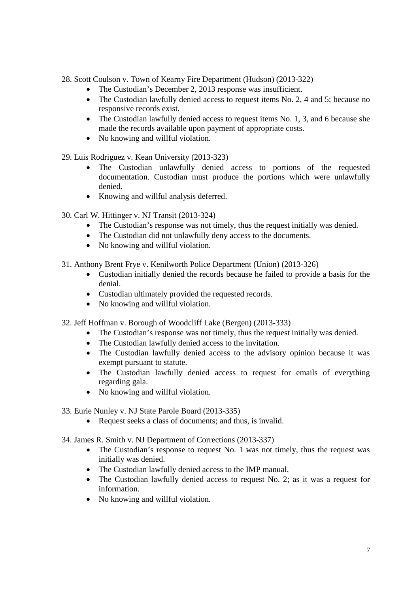28. Scott Coulson v. Town of Kearny Fire Department (Hudson) (2013-322)

- The Custodian's December 2, 2013 response was insufficient.
- The Custodian lawfully denied access to request items No. 2, 4 and 5; because no responsive records exist.
- The Custodian lawfully denied access to request items No. 1, 3, and 6 because she made the records available upon payment of appropriate costs.
- No knowing and willful violation.

29. Luis Rodriguez v. Kean University (2013-323)

- The Custodian unlawfully denied access to portions of the requested documentation. Custodian must produce the portions which were unlawfully denied.
- Knowing and willful analysis deferred.

30. Carl W. Hittinger v. NJ Transit (2013-324)

- The Custodian's response was not timely, thus the request initially was denied.
- The Custodian did not unlawfully deny access to the documents.
- No knowing and willful violation.
- 31. Anthony Brent Frye v. Kenilworth Police Department (Union) (2013-326)
	- Custodian initially denied the records because he failed to provide a basis for the denial.
	- Custodian ultimately provided the requested records.
	- No knowing and willful violation.
- 32. Jeff Hoffman v. Borough of Woodcliff Lake (Bergen) (2013-333)
	- The Custodian's response was not timely, thus the request initially was denied.
	- The Custodian lawfully denied access to the invitation.
	- The Custodian lawfully denied access to the advisory opinion because it was exempt pursuant to statute.
	- The Custodian lawfully denied access to request for emails of everything regarding gala.
	- No knowing and willful violation.

33. Eurie Nunley v. NJ State Parole Board (2013-335)

Request seeks a class of documents; and thus, is invalid.

34. James R. Smith v. NJ Department of Corrections (2013-337)

- The Custodian's response to request No. 1 was not timely, thus the request was initially was denied.
- The Custodian lawfully denied access to the IMP manual.
- The Custodian lawfully denied access to request No. 2; as it was a request for information.
- No knowing and willful violation.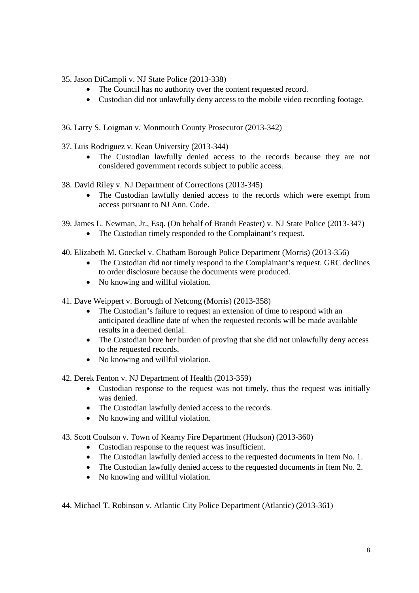- 35. Jason DiCampli v. NJ State Police (2013-338)
	- The Council has no authority over the content requested record.
	- Custodian did not unlawfully deny access to the mobile video recording footage.
- 36. Larry S. Loigman v. Monmouth County Prosecutor (2013-342)
- 37. Luis Rodriguez v. Kean University (2013-344)
	- The Custodian lawfully denied access to the records because they are not considered government records subject to public access.
- 38. David Riley v. NJ Department of Corrections (2013-345)
	- The Custodian lawfully denied access to the records which were exempt from access pursuant to NJ Ann. Code.
- 39. James L. Newman, Jr., Esq. (On behalf of Brandi Feaster) v. NJ State Police (2013-347)
	- The Custodian timely responded to the Complainant's request.
- 40. Elizabeth M. Goeckel v. Chatham Borough Police Department (Morris) (2013-356)
	- The Custodian did not timely respond to the Complainant's request. GRC declines to order disclosure because the documents were produced.
	- No knowing and willful violation.
- 41. Dave Weippert v. Borough of Netcong (Morris) (2013-358)
	- The Custodian's failure to request an extension of time to respond with an anticipated deadline date of when the requested records will be made available results in a deemed denial.
	- The Custodian bore her burden of proving that she did not unlawfully deny access to the requested records.
	- No knowing and willful violation.
- 42. Derek Fenton v. NJ Department of Health (2013-359)
	- Custodian response to the request was not timely, thus the request was initially was denied.
	- The Custodian lawfully denied access to the records.
	- No knowing and willful violation.
- 43. Scott Coulson v. Town of Kearny Fire Department (Hudson) (2013-360)
	- Custodian response to the request was insufficient.
	- The Custodian lawfully denied access to the requested documents in Item No. 1.
	- The Custodian lawfully denied access to the requested documents in Item No. 2.
	- No knowing and willful violation.

44. Michael T. Robinson v. Atlantic City Police Department (Atlantic) (2013-361)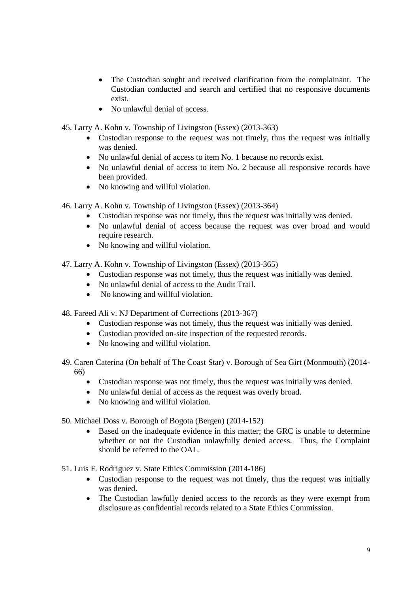- The Custodian sought and received clarification from the complainant. The Custodian conducted and search and certified that no responsive documents exist.
- No unlawful denial of access.
- 45. Larry A. Kohn v. Township of Livingston (Essex) (2013-363)
	- Custodian response to the request was not timely, thus the request was initially was denied.
	- No unlawful denial of access to item No. 1 because no records exist.
	- No unlawful denial of access to item No. 2 because all responsive records have been provided.
	- No knowing and willful violation.
- 46. Larry A. Kohn v. Township of Livingston (Essex) (2013-364)
	- Custodian response was not timely, thus the request was initially was denied.
	- No unlawful denial of access because the request was over broad and would require research.
	- No knowing and willful violation.
- 47. Larry A. Kohn v. Township of Livingston (Essex) (2013-365)
	- Custodian response was not timely, thus the request was initially was denied.
	- No unlawful denial of access to the Audit Trail.
	- No knowing and willful violation.
- 48. Fareed Ali v. NJ Department of Corrections (2013-367)
	- Custodian response was not timely, thus the request was initially was denied.
	- Custodian provided on-site inspection of the requested records.
	- No knowing and willful violation.
- 49. Caren Caterina (On behalf of The Coast Star) v. Borough of Sea Girt (Monmouth) (2014- 66)
	- Custodian response was not timely, thus the request was initially was denied.
	- No unlawful denial of access as the request was overly broad.
	- No knowing and willful violation.
- 50. Michael Doss v. Borough of Bogota (Bergen) (2014-152)
	- Based on the inadequate evidence in this matter; the GRC is unable to determine whether or not the Custodian unlawfully denied access. Thus, the Complaint should be referred to the OAL.

51. Luis F. Rodriguez v. State Ethics Commission (2014-186)

- Custodian response to the request was not timely, thus the request was initially was denied.
- The Custodian lawfully denied access to the records as they were exempt from disclosure as confidential records related to a State Ethics Commission.